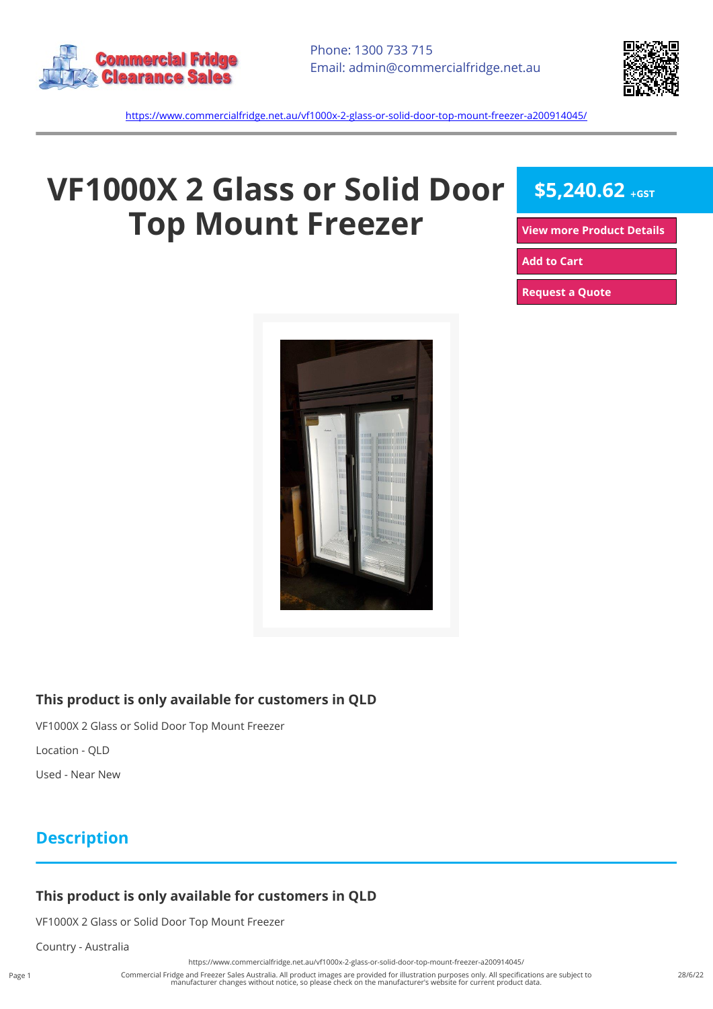



<https://www.commercialfridge.net.au/vf1000x-2-glass-or-solid-door-top-mount-freezer-a200914045/>

# **VF1000X 2 Glass or Solid Door Top Mount Freezer**

\$5,240.62 +GST

**[View more Product Details](https://www.commercialfridge.net.au/vf1000x-2-glass-or-solid-door-top-mount-freezer-a200914045/)**

**[Add to Cart](https://www.commercialfridge.net.au/vf1000x-2-glass-or-solid-door-top-mount-freezer-a200914045/?addtocart=1)** 

**[Request a Quote](https://www.commercialfridge.net.au/vf1000x-2-glass-or-solid-door-top-mount-freezer-a200914045/?requestaquote=1)** 



#### **This product is only available for customers in QLD**

VF1000X 2 Glass or Solid Door Top Mount Freezer

Location - QLD

Used - Near New

### **Description**

#### **This product is only available for customers in QLD**

VF1000X 2 Glass or Solid Door Top Mount Freezer

Country - Australia

<https://www.commercialfridge.net.au/vf1000x-2-glass-or-solid-door-top-mount-freezer-a200914045/>

Commercial Fridge and Freezer Sales Australia. All product images are provided for illustration purposes only. All specifications are subject to manufacturer changes without notice, so please check on the manufacturer's website for current product data.